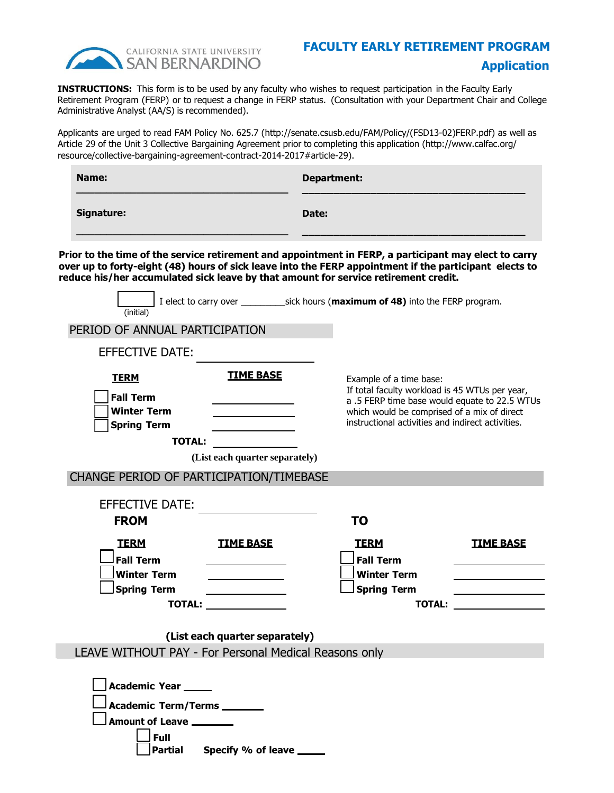

## **FACULTY EARLY RETIREMENT PROGRAM Application**

**INSTRUCTIONS:** This form is to be used by any faculty who wishes to request participation in the Faculty Early Retirement Program (FERP) or to request a change in FERP status. (Consultation with your Department Chair and College Administrative Analyst (AA/S) is recommended).

Applicants are urged to read FAM Policy No. 625.7 (http://senate.csusb.edu/FAM/Policy/(FSD13-02)FERP.pdf) as well as Article 29 of the Unit 3 Collective Bargaining Agreement prior to completing this application (http://www.calfac.org/ resource/collective-bargaining-agreement-contract-2014-2017#article-29).

| Name:             | <b>Department:</b> |
|-------------------|--------------------|
| <b>Signature:</b> | Date:              |
|                   |                    |

over up to forty-eight (40) hours of sick leave lifts the rEKP appointment if the part<br>reduce his/her accumulated sick leave by that amount for service retirement credit. **Prior to the time of the service retirement and appointment in FERP, a participant may elect to carry over up to forty-eight (48) hours of sick leave into the FERP appointment if the participant elects to** 

| (initial)                                                                   |                                |                                                                                                                                                                               |                                               |
|-----------------------------------------------------------------------------|--------------------------------|-------------------------------------------------------------------------------------------------------------------------------------------------------------------------------|-----------------------------------------------|
| PERIOD OF ANNUAL PARTICIPATION                                              |                                |                                                                                                                                                                               |                                               |
| <b>EFFECTIVE DATE:</b>                                                      |                                |                                                                                                                                                                               |                                               |
| <b>TERM</b><br><b>Fall Term</b><br><b>Winter Term</b><br><b>Spring Term</b> | <b>TIME BASE</b>               | Example of a time base:<br>If total faculty workload is 45 WTUs per year,<br>which would be comprised of a mix of direct<br>instructional activities and indirect activities. | a .5 FERP time base would equate to 22.5 WTUs |
| <b>TOTAL:</b>                                                               |                                |                                                                                                                                                                               |                                               |
|                                                                             | (List each quarter separately) |                                                                                                                                                                               |                                               |
| CHANGE PERIOD OF PARTICIPATION/TIMEBASE                                     |                                |                                                                                                                                                                               |                                               |
| <b>EFFECTIVE DATE:</b><br><b>FROM</b>                                       |                                | <b>TO</b>                                                                                                                                                                     |                                               |
|                                                                             |                                |                                                                                                                                                                               |                                               |
| <b>TERM</b><br><b>Fall Term</b>                                             | <b>TIME BASE</b>               | <b>TERM</b><br><b>Fall Term</b>                                                                                                                                               | <b>TIME BASE</b>                              |
| <b>Winter Term</b>                                                          |                                | <b>Winter Term</b>                                                                                                                                                            |                                               |
| <b>Spring Term</b><br><b>TOTAL:</b>                                         |                                | <b>Spring Term</b><br><b>TOTAL:</b>                                                                                                                                           |                                               |
| LEAVE WITHOUT PAY - For Personal Medical Reasons only                       | (List each quarter separately) |                                                                                                                                                                               |                                               |